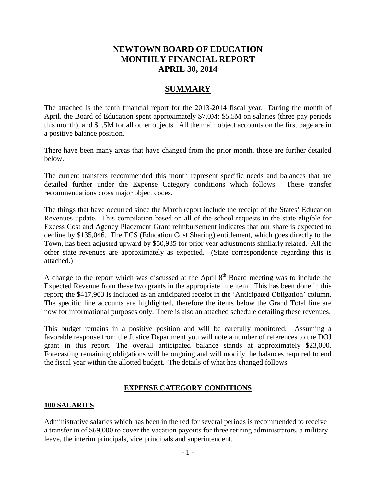## **NEWTOWN BOARD OF EDUCATION MONTHLY FINANCIAL REPORT APRIL 30, 2014**

## **SUMMARY**

The attached is the tenth financial report for the 2013-2014 fiscal year. During the month of April, the Board of Education spent approximately \$7.0M; \$5.5M on salaries (three pay periods this month), and \$1.5M for all other objects. All the main object accounts on the first page are in a positive balance position.

There have been many areas that have changed from the prior month, those are further detailed below.

The current transfers recommended this month represent specific needs and balances that are detailed further under the Expense Category conditions which follows. These transfer recommendations cross major object codes.

The things that have occurred since the March report include the receipt of the States' Education Revenues update. This compilation based on all of the school requests in the state eligible for Excess Cost and Agency Placement Grant reimbursement indicates that our share is expected to decline by \$135,046. The ECS (Education Cost Sharing) entitlement, which goes directly to the Town, has been adjusted upward by \$50,935 for prior year adjustments similarly related. All the other state revenues are approximately as expected. (State correspondence regarding this is attached.)

A change to the report which was discussed at the April  $8<sup>th</sup>$  Board meeting was to include the Expected Revenue from these two grants in the appropriate line item. This has been done in this report; the \$417,903 is included as an anticipated receipt in the 'Anticipated Obligation' column. The specific line accounts are highlighted, therefore the items below the Grand Total line are now for informational purposes only. There is also an attached schedule detailing these revenues.

This budget remains in a positive position and will be carefully monitored. Assuming a favorable response from the Justice Department you will note a number of references to the DOJ grant in this report. The overall anticipated balance stands at approximately \$23,000. Forecasting remaining obligations will be ongoing and will modify the balances required to end the fiscal year within the allotted budget. The details of what has changed follows:

## **EXPENSE CATEGORY CONDITIONS**

#### **100 SALARIES**

Administrative salaries which has been in the red for several periods is recommended to receive a transfer in of \$69,000 to cover the vacation payouts for three retiring administrators, a military leave, the interim principals, vice principals and superintendent.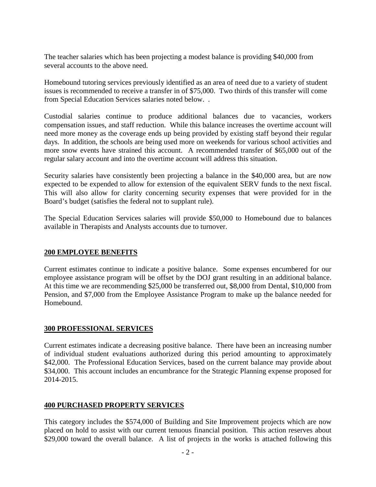The teacher salaries which has been projecting a modest balance is providing \$40,000 from several accounts to the above need.

Homebound tutoring services previously identified as an area of need due to a variety of student issues is recommended to receive a transfer in of \$75,000. Two thirds of this transfer will come from Special Education Services salaries noted below. .

Custodial salaries continue to produce additional balances due to vacancies, workers compensation issues, and staff reduction. While this balance increases the overtime account will need more money as the coverage ends up being provided by existing staff beyond their regular days. In addition, the schools are being used more on weekends for various school activities and more snow events have strained this account. A recommended transfer of \$65,000 out of the regular salary account and into the overtime account will address this situation.

Security salaries have consistently been projecting a balance in the \$40,000 area, but are now expected to be expended to allow for extension of the equivalent SERV funds to the next fiscal. This will also allow for clarity concerning security expenses that were provided for in the Board's budget (satisfies the federal not to supplant rule).

The Special Education Services salaries will provide \$50,000 to Homebound due to balances available in Therapists and Analysts accounts due to turnover.

### **200 EMPLOYEE BENEFITS**

Current estimates continue to indicate a positive balance. Some expenses encumbered for our employee assistance program will be offset by the DOJ grant resulting in an additional balance. At this time we are recommending \$25,000 be transferred out, \$8,000 from Dental, \$10,000 from Pension, and \$7,000 from the Employee Assistance Program to make up the balance needed for Homebound.

#### **300 PROFESSIONAL SERVICES**

Current estimates indicate a decreasing positive balance. There have been an increasing number of individual student evaluations authorized during this period amounting to approximately \$42,000. The Professional Education Services, based on the current balance may provide about \$34,000. This account includes an encumbrance for the Strategic Planning expense proposed for 2014-2015.

#### **400 PURCHASED PROPERTY SERVICES**

This category includes the \$574,000 of Building and Site Improvement projects which are now placed on hold to assist with our current tenuous financial position. This action reserves about \$29,000 toward the overall balance. A list of projects in the works is attached following this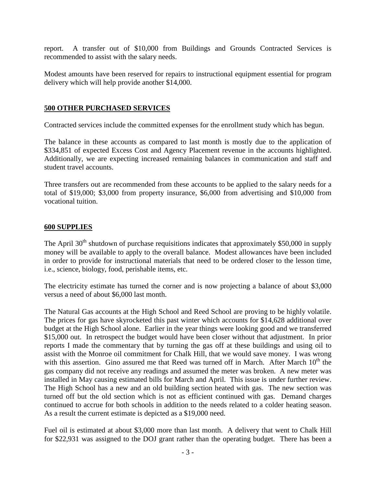report. A transfer out of \$10,000 from Buildings and Grounds Contracted Services is recommended to assist with the salary needs.

Modest amounts have been reserved for repairs to instructional equipment essential for program delivery which will help provide another \$14,000.

### **500 OTHER PURCHASED SERVICES**

Contracted services include the committed expenses for the enrollment study which has begun.

The balance in these accounts as compared to last month is mostly due to the application of \$334,851 of expected Excess Cost and Agency Placement revenue in the accounts highlighted. Additionally, we are expecting increased remaining balances in communication and staff and student travel accounts.

Three transfers out are recommended from these accounts to be applied to the salary needs for a total of \$19,000; \$3,000 from property insurance, \$6,000 from advertising and \$10,000 from vocational tuition.

#### **600 SUPPLIES**

The April  $30<sup>th</sup>$  shutdown of purchase requisitions indicates that approximately \$50,000 in supply money will be available to apply to the overall balance. Modest allowances have been included in order to provide for instructional materials that need to be ordered closer to the lesson time, i.e., science, biology, food, perishable items, etc.

The electricity estimate has turned the corner and is now projecting a balance of about \$3,000 versus a need of about \$6,000 last month.

The Natural Gas accounts at the High School and Reed School are proving to be highly volatile. The prices for gas have skyrocketed this past winter which accounts for \$14,628 additional over budget at the High School alone. Earlier in the year things were looking good and we transferred \$15,000 out. In retrospect the budget would have been closer without that adjustment. In prior reports I made the commentary that by turning the gas off at these buildings and using oil to assist with the Monroe oil commitment for Chalk Hill, that we would save money. I was wrong with this assertion. Gino assured me that Reed was turned off in March. After March  $10<sup>th</sup>$  the gas company did not receive any readings and assumed the meter was broken. A new meter was installed in May causing estimated bills for March and April. This issue is under further review. The High School has a new and an old building section heated with gas. The new section was turned off but the old section which is not as efficient continued with gas. Demand charges continued to accrue for both schools in addition to the needs related to a colder heating season. As a result the current estimate is depicted as a \$19,000 need.

Fuel oil is estimated at about \$3,000 more than last month. A delivery that went to Chalk Hill for \$22,931 was assigned to the DOJ grant rather than the operating budget. There has been a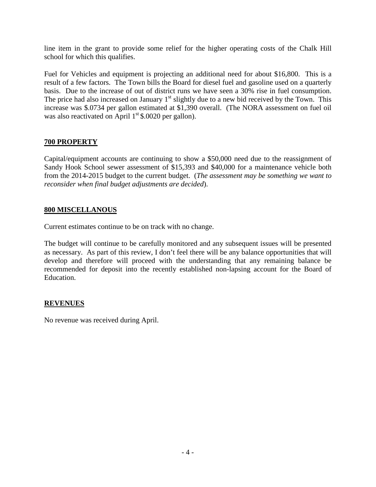line item in the grant to provide some relief for the higher operating costs of the Chalk Hill school for which this qualifies.

Fuel for Vehicles and equipment is projecting an additional need for about \$16,800. This is a result of a few factors. The Town bills the Board for diesel fuel and gasoline used on a quarterly basis. Due to the increase of out of district runs we have seen a 30% rise in fuel consumption. The price had also increased on January  $1<sup>st</sup>$  slightly due to a new bid received by the Town. This increase was \$.0734 per gallon estimated at \$1,390 overall. (The NORA assessment on fuel oil was also reactivated on April  $1<sup>st</sup>$  \$.0020 per gallon).

### **700 PROPERTY**

Capital/equipment accounts are continuing to show a \$50,000 need due to the reassignment of Sandy Hook School sewer assessment of \$15,393 and \$40,000 for a maintenance vehicle both from the 2014-2015 budget to the current budget. (*The assessment may be something we want to reconsider when final budget adjustments are decided*).

#### **800 MISCELLANOUS**

Current estimates continue to be on track with no change.

The budget will continue to be carefully monitored and any subsequent issues will be presented as necessary. As part of this review, I don't feel there will be any balance opportunities that will develop and therefore will proceed with the understanding that any remaining balance be recommended for deposit into the recently established non-lapsing account for the Board of Education.

### **REVENUES**

No revenue was received during April.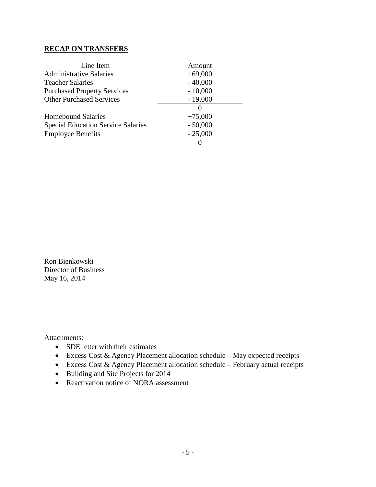#### **RECAP ON TRANSFERS**

| Line Item                                 | Amount        |
|-------------------------------------------|---------------|
| <b>Administrative Salaries</b>            | $+69,000$     |
| <b>Teacher Salaries</b>                   | $-40,000$     |
| <b>Purchased Property Services</b>        | $-10,000$     |
| <b>Other Purchased Services</b>           | $-19,000$     |
|                                           | $\mathcal{O}$ |
| <b>Homebound Salaries</b>                 | $+75,000$     |
| <b>Special Education Service Salaries</b> | $-50,000$     |
| <b>Employee Benefits</b>                  | $-25,000$     |
|                                           | 0             |

Ron Bienkowski Director of Business May 16, 2014

Attachments:

- SDE letter with their estimates
- Excess Cost & Agency Placement allocation schedule May expected receipts
- Excess Cost & Agency Placement allocation schedule February actual receipts
- Building and Site Projects for 2014
- Reactivation notice of NORA assessment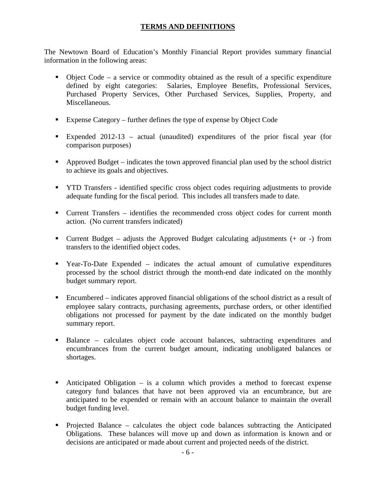## **TERMS AND DEFINITIONS**

The Newtown Board of Education's Monthly Financial Report provides summary financial information in the following areas:

- Object Code a service or commodity obtained as the result of a specific expenditure defined by eight categories: Salaries, Employee Benefits, Professional Services, Purchased Property Services, Other Purchased Services, Supplies, Property, and Miscellaneous.
- Expense Category further defines the type of expense by Object Code
- Expended 2012-13 actual (unaudited) expenditures of the prior fiscal year (for comparison purposes)
- Approved Budget indicates the town approved financial plan used by the school district to achieve its goals and objectives.
- YTD Transfers identified specific cross object codes requiring adjustments to provide adequate funding for the fiscal period. This includes all transfers made to date.
- Current Transfers identifies the recommended cross object codes for current month action. (No current transfers indicated)
- **Current Budget** adjusts the Approved Budget calculating adjustments  $(+)$  or  $-)$  from transfers to the identified object codes.
- Year-To-Date Expended indicates the actual amount of cumulative expenditures processed by the school district through the month-end date indicated on the monthly budget summary report.
- Encumbered indicates approved financial obligations of the school district as a result of employee salary contracts, purchasing agreements, purchase orders, or other identified obligations not processed for payment by the date indicated on the monthly budget summary report.
- Balance calculates object code account balances, subtracting expenditures and encumbrances from the current budget amount, indicating unobligated balances or shortages.
- Anticipated Obligation is a column which provides a method to forecast expense category fund balances that have not been approved via an encumbrance, but are anticipated to be expended or remain with an account balance to maintain the overall budget funding level.
- Projected Balance calculates the object code balances subtracting the Anticipated Obligations. These balances will move up and down as information is known and or decisions are anticipated or made about current and projected needs of the district.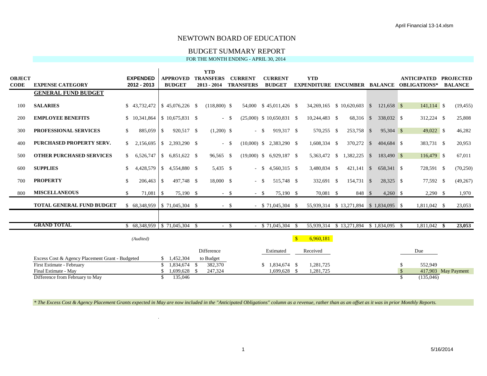#### BUDGET SUMMARY REPORT

#### FOR THE MONTH ENDING - APRIL 30, 2014

|               |                                                 |               |                                       |                |                                | <b>YTD</b>        |        |                  |                             |              |                                          |              |              |             |               |                                           |                     |
|---------------|-------------------------------------------------|---------------|---------------------------------------|----------------|--------------------------------|-------------------|--------|------------------|-----------------------------|--------------|------------------------------------------|--------------|--------------|-------------|---------------|-------------------------------------------|---------------------|
| <b>OBJECT</b> |                                                 |               | <b>EXPENDED</b>                       |                | <b>APPROVED</b>                | <b>TRANSFERS</b>  |        | <b>CURRENT</b>   | <b>CURRENT</b>              |              | <b>YTD</b>                               |              |              |             |               | <b>ANTICIPATED</b>                        | <b>PROJECTED</b>    |
| <b>CODE</b>   | <b>EXPENSE CATEGORY</b>                         |               | 2012 - 2013                           |                | <b>BUDGET</b>                  | $2013 - 2014$     |        | <b>TRANSFERS</b> | <b>BUDGET</b>               |              |                                          |              |              |             |               | EXPENDITURE ENCUMBER BALANCE OBLIGATIONS* | <b>BALANCE</b>      |
|               | <b>GENERAL FUND BUDGET</b>                      |               |                                       |                |                                |                   |        |                  |                             |              |                                          |              |              |             |               |                                           |                     |
|               |                                                 |               |                                       |                |                                |                   |        |                  |                             |              |                                          |              |              |             |               |                                           |                     |
| 100           | <b>SALARIES</b>                                 |               | \$43,732,472                          |                | $$45.076.226$ \$               | $(118.800)$ \$    |        |                  | 54,000 \$45,011,426 \$      |              | 34,269,165 \$ 10,620,603                 |              | $\mathbb{S}$ | 121.658 \$  |               | $141,114$ \$                              | (19, 455)           |
| 200           | <b>EMPLOYEE BENEFITS</b>                        |               | \$10,341,864                          |                | $\frac{1}{2}$ \$ 10.675,831 \$ |                   | $-$ \$ |                  | $(25,000)$ \$ 10,650,831 \$ |              | 10,244,483 \$                            | 68,316 \$    |              | 338,032 \$  |               | 312,224 \$                                | 25,808              |
|               |                                                 |               |                                       |                |                                |                   |        |                  |                             |              |                                          |              |              |             |               |                                           |                     |
| 300           | <b>PROFESSIONAL SERVICES</b>                    | \$            | 885,059 \$                            |                | 920,517 \$                     | $(1,200)$ \$      |        | $-$ \$           | 919,317 \$                  |              | 570,255 \$                               | 253,758 \$   |              | 95,304 \$   |               | 49,022 \$                                 | 46,282              |
|               |                                                 |               |                                       |                |                                |                   |        |                  |                             |              |                                          |              |              |             |               |                                           |                     |
| 400           | PURCHASED PROPERTY SERV.                        | S.            | 2,156,695                             |                |                                |                   | $-$ \$ |                  | $(10,000)$ \$ 2,383,290 \$  |              | 1,608,334 \$                             | 370,272      | $\mathbb{S}$ | 404,684 \$  |               | 383,731 \$                                | 20,953              |
| 500           | <b>OTHER PURCHASED SERVICES</b>                 | S.            | 6,526,747                             |                | $$6,851,622$ \$                | 96,565 \$         |        |                  | $(19,000)$ \$ 6,929,187 \$  |              | 5,363,472 \$                             | 1,382,225    | $\mathbf{s}$ | 183,490 \$  |               | 116,479 \$                                | 67,011              |
|               |                                                 |               |                                       |                |                                |                   |        |                  |                             |              |                                          |              |              |             |               |                                           |                     |
| 600           | <b>SUPPLIES</b>                                 | \$.           | 4,428,579                             |                | $$4,554,880$ \, \$             | 5,435 \$          |        |                  | $-$ \$ 4,560,315 \$         |              | 3,480,834 \$                             | $421,141$ \$ |              | 658,341 \$  |               | 728,591 \$                                | (70, 250)           |
|               |                                                 |               |                                       |                |                                |                   |        |                  |                             |              |                                          |              |              |             |               |                                           |                     |
| 700           | <b>PROPERTY</b>                                 | \$            | 206,463                               | l \$           | 497,748 \$                     | 18,000 \$         |        | $-$ \$           | 515,748 \$                  |              | 332,691 \$                               | 154,731 \$   |              | 28,325 \$   |               | 77,592 \$                                 | (49, 267)           |
| 800           | <b>MISCELLANEOUS</b>                            | <sup>\$</sup> | 71,081                                | $\overline{1}$ | 75,190 \$                      |                   | $-$ \$ | $-$ \$           | 75,190 \$                   |              | 70.081 \$                                | 848 \$       |              | $4,260$ \$  |               | $2,290$ \$                                | 1,970               |
|               |                                                 |               |                                       |                |                                |                   |        |                  |                             |              |                                          |              |              |             |               |                                           |                     |
|               | <b>TOTAL GENERAL FUND BUDGET</b>                |               | $$68.348.959 \mid $71.045.304 \mid $$ |                |                                |                   | $-$ \$ |                  | $-$ \$ 71,045,304 \$        |              | 55,939,314 \$ 13,271,894 \$ 1,834,095 \$ |              |              |             |               | 1,811,042 \$                              | 23,053              |
|               |                                                 |               |                                       |                |                                |                   |        |                  |                             |              |                                          |              |              |             |               |                                           |                     |
|               |                                                 |               |                                       |                |                                |                   |        |                  |                             |              |                                          |              |              |             |               |                                           |                     |
|               | <b>GRAND TOTAL</b>                              |               | $$68,348,959$ $$71,045,304$ \$        |                |                                |                   | $-$ \$ |                  | \$71,045,304                |              | 55,939,314                               | \$13,271,894 |              | \$1,834,095 | - \$          | 1,811,042                                 | 23,053              |
|               |                                                 |               | (Audited)                             |                |                                |                   |        |                  |                             | $\mathbf{s}$ | 6,960,181                                |              |              |             |               |                                           |                     |
|               |                                                 |               |                                       |                |                                |                   |        |                  |                             |              |                                          |              |              |             |               |                                           |                     |
|               |                                                 |               |                                       |                |                                | <b>Difference</b> |        |                  | Estimated                   |              | Received                                 |              |              |             |               | Due                                       |                     |
|               | Excess Cost & Agency Placement Grant - Budgeted |               |                                       |                | \$1.452,304                    | to Budget         |        |                  |                             |              |                                          |              |              |             |               |                                           |                     |
|               | First Estimate - February                       |               |                                       |                | $$1,834,674$ \ \$              | 382,370           |        |                  | $$1,834,674$ \ \$           |              | 1,281,725                                |              |              |             | \$            | 552,949                                   |                     |
|               | Final Estimate - May                            |               |                                       |                | $1,699,628$ \$                 | 247,324           |        |                  | 1,699,628 \$                |              | 1,281,725                                |              |              |             | $\mathcal{S}$ |                                           | 417,903 May Payment |
|               | Difference from February to May                 |               |                                       | \$.            | 135,046                        |                   |        |                  |                             |              |                                          |              |              |             | \$.           | (135.046)                                 |                     |

*\* The Excess Cost & Agency Placement Grants expected in May are now included in the "Anticipated Obligations" column as a revenue, rather than as an offset as it was in prior Monthly Reports.*

 $\mathbf{r}$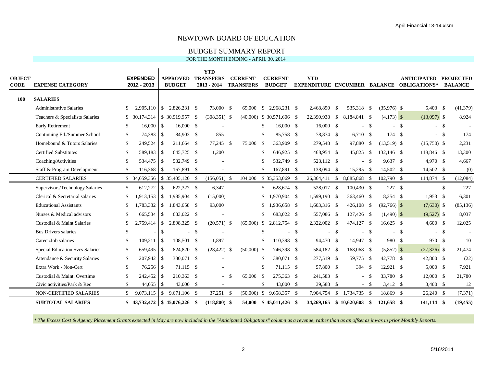#### BUDGET SUMMARY REPORT

FOR THE MONTH ENDING - APRIL 30, 2014

| OBJECT<br>CODE | <b>EXPENSE CATEGORY</b>         |               | <b>EXPENDED</b><br>2012 - 2013 |               | <b>APPROVED</b><br><b>BUDGET</b> | <b>YTD</b><br><b>TRANSFERS</b><br>$2013 - 2014$ |     | <b>CURRENT</b><br><b>TRANSFERS</b> |               | <b>CURRENT</b><br><b>BUDGET</b> |      | <b>YTD</b>               |      |              |        |               |        | <b>ANTICIPATED</b><br><b>EXPENDITURE ENCUMBER BALANCE OBLIGATIONS*</b> |        | <b>PROJECTED</b><br><b>BALANCE</b> |
|----------------|---------------------------------|---------------|--------------------------------|---------------|----------------------------------|-------------------------------------------------|-----|------------------------------------|---------------|---------------------------------|------|--------------------------|------|--------------|--------|---------------|--------|------------------------------------------------------------------------|--------|------------------------------------|
| <b>100</b>     | <b>SALARIES</b>                 |               |                                |               |                                  |                                                 |     |                                    |               |                                 |      |                          |      |              |        |               |        |                                                                        |        |                                    |
|                | <b>Administrative Salaries</b>  | <sup>\$</sup> | 2.905.110                      | $\mathbb{S}$  | 2.826.231 \$                     | 73,000 \$                                       |     | 69,000                             |               |                                 |      | 2,468,890                | - \$ | 535,318 \$   |        | $(35,976)$ \$ |        | 5.403 \$                                                               |        | (41, 379)                          |
|                | Teachers & Specialists Salaries |               | \$ 30,174,314                  |               | $$30.919.957$ \;                 | $(308, 351)$ \$                                 |     |                                    |               | $(40,000)$ \$ 30,571,606 \$     |      | 22,390,938               | - \$ | 8.184.841 \$ |        | $(4,173)$ \$  |        | $(13,097)$ \$                                                          |        | 8,924                              |
|                | <b>Early Retirement</b>         | -S            | 16,000                         | -S            | 16,000 S                         |                                                 |     |                                    | -S            | 16,000 \$                       |      | $16,000$ \$              |      | $-$ \$       |        |               | $-$ \$ | $-$ \$                                                                 |        |                                    |
|                | Continuing Ed./Summer School    | \$            |                                |               | 84,903 \$                        | 855                                             |     |                                    | <sup>\$</sup> | 85,758 \$                       |      | 78,874 \$                |      | $6,710$ \$   |        | 174S          |        |                                                                        | $-$ \$ | 174                                |
|                | Homebound & Tutors Salaries     | -S            | 249,524                        | $\vert$ \$    | 211,664 \$                       | 77,245 \$                                       |     | 75,000 \$                          |               | 363,909 \$                      |      | 279,548 \$               |      | 97,880       | - \$   | $(13,519)$ \$ |        | $(15,750)$ \$                                                          |        | 2,231                              |
|                | <b>Certified Substitutes</b>    | -S            | 589,183 \$                     |               | 645.725 \$                       | 1,200                                           |     |                                    | <sup>\$</sup> | 646,925 \$                      |      | 468,954 \$               |      | 45,825       | - \$   | 132,146 \$    |        | 118,846 \$                                                             |        | 13,300                             |
|                | Coaching/Activities             | <sup>\$</sup> | 534,475 \$                     |               | 532,749 \$                       |                                                 |     |                                    | <sup>\$</sup> | 532,749 \$                      |      | 523,112 \$               |      |              | $-$ \$ | 9,637 \$      |        | 4,970 \$                                                               |        | 4,667                              |
|                | Staff & Program Development     | <sup>\$</sup> | $116,368$ \$                   |               | 167,891 \$                       |                                                 |     |                                    | <sup>\$</sup> | 167,891 \$                      |      | 138,094 \$               |      | 15,295 \$    |        | 14,502 \$     |        | 14,502 \$                                                              |        | (0)                                |
|                | CERTIFIED SALARIES              |               | \$ 34,659,356                  |               |                                  | $(156, 051)$ \$                                 |     | 104,000                            |               | $$35,353,069$ \ \$              |      | 26,364,411 \$            |      | 8,885,868    | - \$   | 102,790 \$    |        | 114,874 \$                                                             |        | (12,084)                           |
|                | Supervisors/Technology Salaries | \$            | 612,272                        | $\mathbb{S}$  | 622,327 \$                       | 6,347                                           |     |                                    | <sup>\$</sup> | 628,674 \$                      |      | 528,017 \$               |      | 100,430 \$   |        | 227S          |        |                                                                        | $-$ \$ | 227                                |
|                | Clerical & Secretarial salaries | -S            | 1,913,153                      | <sup>\$</sup> | 1,985,904 \$                     | (15,000)                                        |     |                                    | \$            | 1,970,904 \$                    |      | 1,599,190 \$             |      | 363,460 \$   |        | $8,254$ \$    |        | $1,953$ \$                                                             |        | 6,301                              |
|                | <b>Educational Assistants</b>   | <sup>\$</sup> | 1,783,332                      | <sup>\$</sup> | 1,843,658 \$                     | 93,000                                          |     |                                    | \$            | 1,936,658 \$                    |      | 1,603,316 \$             |      | 426,108 \$   |        | $(92,766)$ \$ |        | $(7,630)$ \$                                                           |        | (85, 136)                          |
|                | Nurses & Medical advisors       | -S            | 665,534                        | $\mathcal{S}$ | 683,022 \$                       |                                                 |     |                                    | $\mathbb{S}$  | 683,022 \$                      |      | 557,086 \$               |      | 127,426 \$   |        | $(1,490)$ \$  |        | $(9,527)$ \$                                                           |        | 8,037                              |
|                | Custodial & Maint Salaries      | <sup>\$</sup> | 2,759,414                      | $\mathbb{S}$  | 2,898,325 \$                     | $(20,571)$ \$                                   |     |                                    |               | $(65,000)$ \$ 2,812,754 \$      |      | 2,322,002 \$             |      | 474,127 \$   |        | $16,625$ \$   |        | $4,600$ \$                                                             |        | 12,025                             |
|                | <b>Bus Drivers salaries</b>     | -S            |                                | \$            | $-$ \$                           |                                                 |     |                                    | <sup>\$</sup> | $\sim$                          | - \$ | a.                       | -\$  | $-$ \$       |        |               | $-$ \$ | $-$ \$                                                                 |        |                                    |
|                | Career/Job salaries             | \$            | $109,211$ \$                   |               | 108,501 \$                       | 1,897                                           |     |                                    | <sup>\$</sup> | 110,398 \$                      |      | 94,470 \$                |      | 14,947 \$    |        | 980 \$        |        | 970 \$                                                                 |        | 10                                 |
|                | Special Education Svcs Salaries | $\mathbb{S}$  | 659,495 \$                     |               | 824,820 \$                       | $(28, 422)$ \$                                  |     | $(50,000)$ \$                      |               | 746,398 \$                      |      | 584,182 \$               |      | 168,068 \$   |        | $(5,852)$ \$  |        | $(27,326)$ \$                                                          |        | 21,474                             |
|                | Attendance & Security Salaries  | $\mathbb{S}$  | $207,942$ \$                   |               | 380,071 \$                       |                                                 |     |                                    | -S            | 380,071 \$                      |      | 277,519 \$               |      | 59,775 \$    |        | 42,778 \$     |        | 42,800 \$                                                              |        | (22)                               |
|                | Extra Work - Non-Cert           | -S            | 76,256 \$                      |               | 71,115 \$                        |                                                 |     |                                    | -S            | 71,115 \$                       |      | 57,800 \$                |      | 394 \$       |        | 12,921 \$     |        | $5,000$ \$                                                             |        | 7,921                              |
|                | Custodial & Maint. Overtime     | -S            | 242,452 \$                     |               | 210,363 \$                       | $\sim$                                          | -S  | 65,000 \$                          |               | 275,363 \$                      |      | 241,583 \$               |      |              | - \$   | 33,780 \$     |        | 12,000 \$                                                              |        | 21,780                             |
|                | Civic activities/Park & Rec     | <sup>\$</sup> |                                |               | 43,000 \$                        |                                                 |     |                                    | <sup>\$</sup> | 43,000 \$                       |      | 39,588 \$                |      | $-$ \$       |        | 3,412 \$      |        | $3,400$ \$                                                             |        | 12                                 |
|                | NON-CERTIFIED SALARIES          | \$            | 9,073,115                      | $\mathbb{S}$  | 9,671,106 \$                     | 37,251                                          | -\$ |                                    |               | $(50,000)$ \$ 9,658,357 \$      |      | 7,904,754                | \$   | 1,734,735 \$ |        | 18,869 \$     |        | $26,240$ \$                                                            |        | (7, 371)                           |
|                | <b>SUBTOTAL SALARIES</b>        |               | $$43,732,472$ $$45,076,226$ \$ |               |                                  | $(118,800)$ \$                                  |     | 54,000                             |               | $$45,011,426$ \, \$             |      | 34,269,165 \$ 10,620,603 |      |              | \$     | 121,658 \$    |        | 141,114 \$                                                             |        | (19, 455)                          |

*\* The Excess Cost & Agency Placement Grants expected in May are now included in the "Anticipated Obligations" column as a revenue, rather than as an offset as it was in prior Monthly Reports.*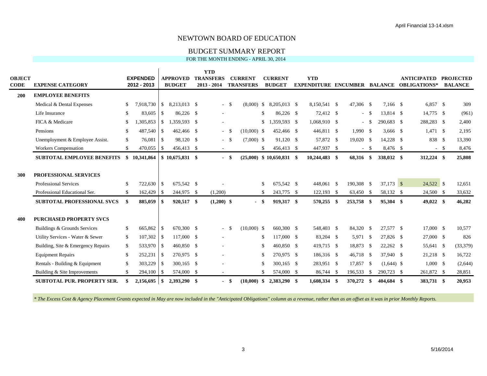#### BUDGET SUMMARY REPORT

FOR THE MONTH ENDING - APRIL 30, 2014

|                |                                    |              |                                |               |                                  | <b>YTD</b>                        |      |                                    |               |                                 |                                                   |     |             |        |              |                                           |        |                                    |
|----------------|------------------------------------|--------------|--------------------------------|---------------|----------------------------------|-----------------------------------|------|------------------------------------|---------------|---------------------------------|---------------------------------------------------|-----|-------------|--------|--------------|-------------------------------------------|--------|------------------------------------|
| OBJECT<br>CODE | <b>EXPENSE CATEGORY</b>            |              | <b>EXPENDED</b><br>2012 - 2013 |               | <b>APPROVED</b><br><b>BUDGET</b> | <b>TRANSFERS</b><br>$2013 - 2014$ |      | <b>CURRENT</b><br><b>TRANSFERS</b> |               | <b>CURRENT</b><br><b>BUDGET</b> | <b>YTD</b><br><b>EXPENDITURE ENCUMBER BALANCE</b> |     |             |        |              | <b>ANTICIPATED</b><br><b>OBLIGATIONS*</b> |        | <b>PROJECTED</b><br><b>BALANCE</b> |
| 200            | <b>EMPLOYEE BENEFITS</b>           |              |                                |               |                                  |                                   |      |                                    |               |                                 |                                                   |     |             |        |              |                                           |        |                                    |
|                |                                    | \$           | 7,918,730                      | <sup>S</sup>  | 8.213.013 \$                     |                                   | -\$  |                                    |               | $(8.000)$ \$ 8.205.013 \$       | 8,150,541 \$                                      |     | 47,306 \$   |        | 7.166 \$     | 6.857 S                                   |        | 309                                |
|                | Medical & Dental Expenses          |              |                                |               |                                  | $\sim$                            |      |                                    |               |                                 |                                                   |     |             |        |              |                                           |        |                                    |
|                | Life Insurance                     | \$.          | 83,605                         | <sup>S</sup>  | 86,226 \$                        |                                   |      |                                    | \$.           | 86,226 \$                       | 72,412 \$                                         |     |             | $-$ \$ | 13,814 \$    | 14,775 \$                                 |        | (961)                              |
|                | FICA & Medicare                    | \$.          | ,305,853                       | <sup>\$</sup> | 1.359.593 \$                     | $\sim$                            |      |                                    |               | $$1,359,593$ \$                 | 1,068,910 \$                                      |     |             | $-$ \$ | 290,683 \$   | 288,283 \$                                |        | 2,400                              |
|                | Pensions                           | \$           | 487,540                        | <sup>S</sup>  | 462,466 \$                       | $\sim$                            | -S   | $(10.000)$ \$                      |               | 452,466 \$                      | 446,811 \$                                        |     | 1,990 \$    |        | $3,666$ \$   | $1,471$ \$                                |        | 2,195                              |
|                | Unemployment & Employee Assist.    | $\mathbb{S}$ | 76,081                         | $\mathbf{s}$  | 98,120 \$                        | $\sim$                            | - \$ | $(7,000)$ \$                       |               | 91,120 \$                       | 57,872 \$                                         |     | $19,020$ \$ |        | 14,228 \$    | 838 \$                                    |        | 13,390                             |
|                | <b>Workers Compensation</b>        | \$.          |                                |               | 456,413 \$                       | $\sim$                            |      |                                    | \$            | 456,413 \$                      | 447,937 \$                                        |     |             | $-$ \$ | 8,476 \$     |                                           | $-$ \$ | 8,476                              |
|                | <b>SUBTOTAL EMPLOYEE BENEFITS</b>  | SS.          | 10,341,864                     |               | $$10,675,831$ \\$                | $\sim$                            | - \$ |                                    |               | $(25,000)$ \$ 10,650,831 \$     | $10,244,483$ \$                                   |     | 68,316      | \$     | 338,032 \$   | 312,224 \$                                |        | 25,808                             |
|                |                                    |              |                                |               |                                  |                                   |      |                                    |               |                                 |                                                   |     |             |        |              |                                           |        |                                    |
| 300            | <b>PROFESSIONAL SERVICES</b>       |              |                                |               |                                  |                                   |      |                                    |               |                                 |                                                   |     |             |        |              |                                           |        |                                    |
|                | Professional Services              | -S           | 722,630 \$                     |               | 675,542 \$                       |                                   |      |                                    | <sup>\$</sup> | 675,542 \$                      | 448,061 \$                                        |     | 190,308 \$  |        | $37,173$ \$  | 24,522 \$                                 |        | 12,651                             |
|                | Professional Educational Ser.      | \$.          | 162,429 \$                     |               | 244,975 \$                       | (1,200)                           |      |                                    | <sup>\$</sup> | 243,775 \$                      | $122,193$ \$                                      |     | 63,450 \$   |        | 58,132 \$    | 24,500 \$                                 |        | 33,632                             |
|                | <b>SUBTOTAL PROFESSIONAL SVCS</b>  | -\$          | 885,059                        | -S            | 920,517 \$                       | $(1,200)$ \$                      |      | - \$                               |               | 919,317 \$                      | 570,255                                           | -\$ | 253,758 \$  |        | 95,304 \$    | $49,022$ \$                               |        | 46,282                             |
|                |                                    |              |                                |               |                                  |                                   |      |                                    |               |                                 |                                                   |     |             |        |              |                                           |        |                                    |
| 400            | <b>PURCHASED PROPERTY SVCS</b>     |              |                                |               |                                  |                                   |      |                                    |               |                                 |                                                   |     |             |        |              |                                           |        |                                    |
|                | Buildings & Grounds Services       | <sup>S</sup> | 665,862 \$                     |               | 670.300 \$                       |                                   | -S   | $(10,000)$ \$                      |               | 660,300 \$                      | 548,403 \$                                        |     | 84,320 \$   |        | 27.577 \$    | 17,000 \$                                 |        | 10,577                             |
|                | Utility Services - Water & Sewer   | -S           | $107,302$ \$                   |               | 117,000 \$                       |                                   |      |                                    | -S            | 117,000 \$                      | 83,204 \$                                         |     | 5,971 \$    |        | 27,826 \$    | 27,000 \$                                 |        | 826                                |
|                | Building, Site & Emergency Repairs | $\mathbb{S}$ | 533,970 \$                     |               | 460,850 \$                       |                                   |      |                                    | <sup>\$</sup> | 460,850 \$                      | 419,715 \$                                        |     | 18,873 \$   |        | $22,262$ \$  | 55,641 \$                                 |        | (33, 379)                          |
|                | <b>Equipment Repairs</b>           | $\mathbb{S}$ | 252,231                        | -\$           | 270,975 \$                       |                                   |      |                                    | -S            | 270,975 \$                      | 186,316 \$                                        |     | 46,718 \$   |        | 37,940 \$    | 21,218 \$                                 |        | 16,722                             |
|                | Rentals - Building & Equipment     | \$           | 303,229 \$                     |               | 300,165 \$                       |                                   |      |                                    | £.            | 300,165 \$                      | 283,951 \$                                        |     | 17,857 \$   |        | $(1,644)$ \$ | 1,000 S                                   |        | (2,644)                            |
|                | Building & Site Improvements       | $\mathbb{S}$ | 294,100                        | $\vert$ \$    | 574,000 \$                       | $\sim$                            |      |                                    | \$.           | 574,000 \$                      | 86,744 \$                                         |     | 196,533     | -\$    | 290,723 \$   | 261,872 \$                                |        | 28,851                             |
|                | <b>SUBTOTAL PUR. PROPERTY SER.</b> |              |                                |               | 2,393,290 \$                     | $\sim$                            | -\$  | (10,000)                           | - \$          | 2,383,290 \$                    | 1,608,334 \$                                      |     | 370,272     | - \$   | 404,684 \$   | 383,731 \$                                |        | 20,953                             |
|                |                                    |              |                                |               |                                  |                                   |      |                                    |               |                                 |                                                   |     |             |        |              |                                           |        |                                    |

*\* The Excess Cost & Agency Placement Grants expected in May are now included in the "Anticipated Obligations" column as a revenue, rather than as an offset as it was in prior Monthly Reports.*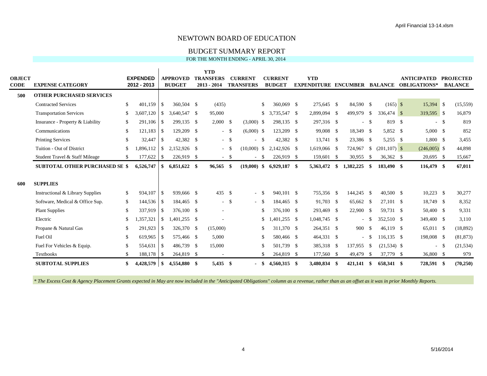#### BUDGET SUMMARY REPORT

FOR THE MONTH ENDING - APRIL 30, 2014

|               |                                       |              |                 |               |                 | <b>YTD</b>        |        |                  |      |                |     |                                     |      |              |               |                 |                     |        |                  |
|---------------|---------------------------------------|--------------|-----------------|---------------|-----------------|-------------------|--------|------------------|------|----------------|-----|-------------------------------------|------|--------------|---------------|-----------------|---------------------|--------|------------------|
| <b>OBJECT</b> |                                       |              | <b>EXPENDED</b> |               | <b>APPROVED</b> | <b>TRANSFERS</b>  |        | <b>CURRENT</b>   |      | <b>CURRENT</b> |     | <b>YTD</b>                          |      |              |               |                 | <b>ANTICIPATED</b>  |        | <b>PROJECTED</b> |
| CODE          | <b>EXPENSE CATEGORY</b>               |              | 2012 - 2013     |               | <b>BUDGET</b>   | $2013 - 2014$     |        | <b>TRANSFERS</b> |      | <b>BUDGET</b>  |     | <b>EXPENDITURE ENCUMBER BALANCE</b> |      |              |               |                 | <b>OBLIGATIONS*</b> |        | <b>BALANCE</b>   |
| 500           | <b>OTHER PURCHASED SERVICES</b>       |              |                 |               |                 |                   |        |                  |      |                |     |                                     |      |              |               |                 |                     |        |                  |
|               | <b>Contracted Services</b>            | \$           | 401.159         | <sup>S</sup>  | 360.504 \$      | (435)             |        |                  | \$.  | $360.069$ \$   |     | 275.645 \$                          |      | 84.590 \$    |               | $(165)$ \$      | 15,394 \$           |        | (15, 559)        |
|               | <b>Transportation Services</b>        | \$           | 3,607,120       | <sup>\$</sup> | 3,640,547 \$    | 95,000            |        |                  | \$   | 3,735,547 \$   |     | 2,899,094 \$                        |      | 499,979      | <sup>\$</sup> | 336,474 \$      | 319,595 \$          |        | 16,879           |
|               | Insurance - Property & Liability      | \$           | 291,106 \$      |               | 299,135 \$      | $2,000$ \$        |        | $(3,000)$ \$     |      | 298,135 \$     |     | 297,316 \$                          |      | $-$ \$       |               | 819 \$          |                     | $-$ \$ | 819              |
|               | Communications                        | \$.          | $121,183$ \$    |               | 129,209 \$      | $\sim$            | -\$    | $(6,000)$ \$     |      | 123,209 \$     |     | 99,008 \$                           |      | 18,349 \$    |               | 5,852 \$        | 5,000 S             |        | 852              |
|               | <b>Printing Services</b>              | \$           | 32,447          | $\vert$ \$    | 42,382 \$       |                   | $-$ \$ | $-$ \$           |      | 42,382 \$      |     | 13,741 \$                           |      | 23,386 \$    |               | 5,255 \$        | 1,800 \$            |        | 3,455            |
|               | Tuition - Out of District             | \$           | .896.112        | <sup>S</sup>  | 2.152.926 \$    | $\sim$            | - \$   | $(10,000)$ \$    |      | 2,142,926 \$   |     | 1,619,066 \$                        |      | 724,967      | <sup>\$</sup> | $(201, 107)$ \$ | $(246,005)$ \$      |        | 44,898           |
|               | Student Travel & Staff Mileage        | \$.          | $177,622$ \$    |               | 226,919 \$      |                   | $-$ \$ |                  | - \$ | 226,919 \$     |     | 159,601                             | - \$ | 30,955       | -S            | 36,362 \$       | $20,695$ \$         |        | 15,667           |
|               | <b>SUBTOTAL OTHER PURCHASED SE \$</b> |              | 6,526,747       | -S            | $6,851,622$ \$  | 96.565            | - \$   | $(19,000)$ \$    |      | 6,929,187 \$   |     | 5,363,472                           | \$   | 1,382,225    | \$            | 183,490 \$      | 116,479 \$          |        | 67,011           |
|               |                                       |              |                 |               |                 |                   |        |                  |      |                |     |                                     |      |              |               |                 |                     |        |                  |
| 600           | <b>SUPPLIES</b>                       |              |                 |               |                 |                   |        |                  |      |                |     |                                     |      |              |               |                 |                     |        |                  |
|               | Instructional & Library Supplies      | \$           | 934,107 \$      |               | 939,666 \$      | 435 $\frac{1}{2}$ |        | $-$ \$           |      | 940.101 \$     |     | 755,356 \$                          |      | 144,245 \$   |               | $40,500$ \$     | $10,223$ \$         |        | 30,277           |
|               | Software, Medical & Office Sup.       | $\mathbb{S}$ |                 |               | 184,465 \$      | $\sim$            | - \$   | $-$ \$           |      | 184,465 \$     |     | 91,703 \$                           |      | 65,662 \$    |               | 27,101 \$       | 18,749 \$           |        | 8,352            |
|               | <b>Plant Supplies</b>                 | \$           | 337,919         | -S            | 376,100 \$      | $\sim$            |        |                  | \$   | 376,100 \$     |     | 293,469 \$                          |      | 22,900 \$    |               | 59.731 \$       | 50,400 \$           |        | 9,331            |
|               | Electric                              | \$           | .357,321        | <sup>\$</sup> | 1,401,255 \$    |                   |        |                  | \$   | $,401,255$ \$  |     | 1,048,745 \$                        |      | $\sim 100$   | - \$          | 352.510 \$      | 349,400 \$          |        | 3,110            |
|               | Propane & Natural Gas                 | \$           | 291,923         | -S            | 326,370 \$      | (15,000)          |        |                  | \$.  | 311,370 \$     |     | 264,351 \$                          |      | 900          | -S            | 46.119 \$       | 65,011 \$           |        | (18, 892)        |
|               | Fuel Oil                              | £.           | 619,965 \$      |               | 575,466 \$      | 5,000             |        |                  | \$.  | 580,466 \$     |     | 464,331 \$                          |      |              | $-$ \$        | $116,135$ \$    | 198,008 \$          |        | (81, 873)        |
|               | Fuel For Vehicles & Equip.            | \$           | 554,631         | -S            | 486.739 \$      | 15,000            |        |                  | \$   | 501,739 \$     |     | 385,318 \$                          |      | 137,955      | -\$           | $(21,534)$ \$   |                     | $-$ \$ | (21, 534)        |
|               | Textbooks                             | \$           | 188,178 \$      |               | 264,819 \$      |                   |        |                  | \$   | 264,819        | -\$ | 177,560 \$                          |      | 49,479       | -S            | 37,779 \$       | 36,800 \$           |        | 979              |
|               | <b>SUBTOTAL SUPPLIES</b>              | \$           | $4,428,579$ \\$ |               | 4,554,880 \$    | $5,435$ \$        |        |                  | - \$ | 4,560,315 \$   |     | 3,480,834 \$                        |      | $421,141$ \$ |               | 658,341 \$      | 728,591 \$          |        | (70, 250)        |

*\* The Excess Cost & Agency Placement Grants expected in May are now included in the "Anticipated Obligations" column as a revenue, rather than as an offset as it was in prior Monthly Reports.*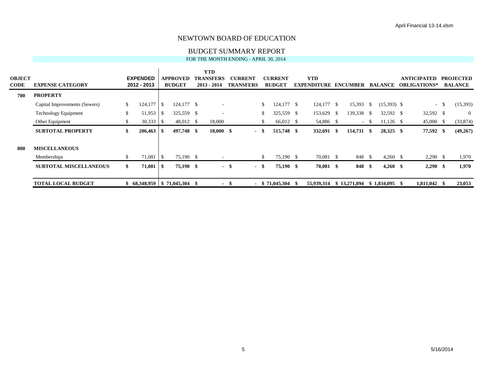#### BUDGET SUMMARY REPORT

#### FOR THE MONTH ENDING - APRIL 30, 2014

| <b>OBJECT</b><br><b>CODE</b> | <b>EXPENSE CATEGORY</b>       |     | <b>EXPENDED</b><br>2012 - 2013 |                          | <b>APPROVED</b><br><b>BUDGET</b>    | <b>YTD</b><br>TRANSFERS<br>2013 - 2014 |      | <b>CURRENT</b><br><b>TRANSFERS</b> |     | <b>CURRENT</b><br><b>BUDGET</b> |    | <b>YTD</b><br><b>EXPENDITURE</b> |              | <b>ENCUMBER</b> |              | <b>BALANCE</b> |    | <b>ANTICIPATED</b><br><b>OBLIGATIONS*</b> | <b>PROJECTED</b><br><b>BALANCE</b> |
|------------------------------|-------------------------------|-----|--------------------------------|--------------------------|-------------------------------------|----------------------------------------|------|------------------------------------|-----|---------------------------------|----|----------------------------------|--------------|-----------------|--------------|----------------|----|-------------------------------------------|------------------------------------|
| 700                          | <b>PROPERTY</b>               |     |                                |                          |                                     |                                        |      |                                    |     |                                 |    |                                  |              |                 |              |                |    |                                           |                                    |
|                              | Capital Improvements (Sewers) | \$  | 124,177                        | <b>1.S</b>               | 124,177 \$                          | $\overline{\phantom{a}}$               |      |                                    | \$. | $124,177$ \$                    |    | $124,177$ \$                     |              | 15,393          | <sup>S</sup> | $(15,393)$ \$  |    | $-$ \$                                    | (15,393)                           |
|                              | <b>Technology Equipment</b>   | S.  |                                |                          | 325,559 \$                          | $\overline{\phantom{a}}$               |      |                                    | \$  | 325,559 \$                      |    | 153,629                          | $\mathbb{S}$ | 139,338 \$      |              | 32,592 \$      |    | 32,592 \$                                 | $\overline{0}$                     |
|                              | Other Equipment               | D.  |                                |                          | 48,012 \$                           | 18,000                                 |      |                                    | S.  | 66,012 \$                       |    | 54,886 \$                        |              |                 | $-$ \$       | $11,126$ \$    |    | $45,000$ \$                               | (33,874)                           |
|                              | <b>SUBTOTAL PROPERTY</b>      | SS. | $206,463$ \$                   |                          | 497,748 \$                          | $18,000$ \$                            |      | - \$                               |     | 515,748 \$                      |    | 332,691 \$                       |              | 154,731 \$      |              | 28,325 \$      |    | 77,592 \$                                 | (49,267)                           |
| 800                          | <b>MISCELLANEOUS</b>          |     |                                |                          |                                     |                                        |      |                                    |     |                                 |    |                                  |              |                 |              |                |    |                                           |                                    |
|                              | Memberships                   | S.  | 71,081                         | $\overline{\phantom{a}}$ | 75,190 \$                           |                                        |      |                                    | S.  | 75,190 \$                       |    | 70,081 \$                        |              | 848 \$          |              | $4,260$ \$     |    | $2,290$ \$                                | 1,970                              |
|                              | <b>SUBTOTAL MISCELLANEOUS</b> | SS. | 71,081                         | <b>1 S</b>               | 75,190 \$                           |                                        | - \$ | - \$                               |     | 75,190 \$                       |    | 70,081 \$                        |              | 848             | -S           | $4,260$ \$     |    | $2,290$ \$                                | 1,970                              |
|                              | <b>TOTAL LOCAL BUDGET</b>     |     |                                |                          | $$68,348,959 \mid $71,045,304 \; $$ | $\sim$                                 | - 31 |                                    |     | $-$ \$ 71,045,304               | -8 | 55,939,314                       |              | \$13,271,894    |              | \$1.834.095    | -8 | $1,811,042$ \$                            | 23,053                             |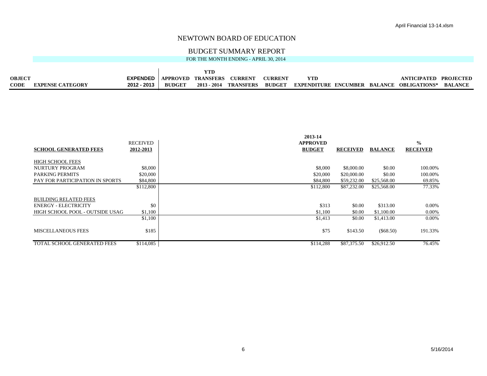#### BUDGET SUMMARY REPORT

FOR THE MONTH ENDING - APRIL 30, 2014

| <b>OBJECT</b> |                         | <b>EXPENDED</b> | <b>APPROVED</b> | TRANSFERS | <b>CURRENT</b>        | <b>CURRENT</b> |                             |         | ANTICIPATED         | <b>PROJECTED</b> |
|---------------|-------------------------|-----------------|-----------------|-----------|-----------------------|----------------|-----------------------------|---------|---------------------|------------------|
| <b>CODE</b>   | <b>EXPENSE CATEGORY</b> | 2012 - 2013     | <b>BUDGET</b>   |           | 2013 - 2014 TRANSFERS | <b>BUDGET</b>  | <b>EXPENDITURE ENCUMBER</b> | BALANCE | <b>OBLIGATIONS*</b> | <b>BALANCE</b>   |

|                                 |                 | 2013-14         |                 |                |                 |
|---------------------------------|-----------------|-----------------|-----------------|----------------|-----------------|
|                                 | <b>RECEIVED</b> | <b>APPROVED</b> |                 |                | $\frac{0}{0}$   |
| <b>SCHOOL GENERATED FEES</b>    | 2012-2013       | <b>BUDGET</b>   | <b>RECEIVED</b> | <b>BALANCE</b> | <b>RECEIVED</b> |
|                                 |                 |                 |                 |                |                 |
| <b>HIGH SCHOOL FEES</b>         |                 |                 |                 |                |                 |
| <b>NURTURY PROGRAM</b>          | \$8,000         | \$8,000         | \$8,000.00      | \$0.00         | 100.00%         |
| <b>PARKING PERMITS</b>          | \$20,000        | \$20,000        | \$20,000.00     | \$0.00         | 100.00%         |
| PAY FOR PARTICIPATION IN SPORTS | \$84,800        | \$84,800        | \$59,232.00     | \$25,568.00    | 69.85%          |
|                                 | \$112,800       | \$112,800       | \$87,232.00     | \$25,568.00    | 77.33%          |
|                                 |                 |                 |                 |                |                 |
| <b>BUILDING RELATED FEES</b>    |                 |                 |                 |                |                 |
| <b>ENERGY - ELECTRICITY</b>     | \$0             | \$313           | \$0.00          | \$313.00       | $0.00\%$        |
| HIGH SCHOOL POOL - OUTSIDE USAG | \$1,100         | \$1,100         | \$0.00          | \$1,100.00     | 0.00%           |
|                                 | \$1,100         | \$1,413         | \$0.00          | \$1,413.00     | $0.00\%$        |
|                                 |                 |                 |                 |                |                 |
| <b>MISCELLANEOUS FEES</b>       | \$185           | \$75            | \$143.50        | $(\$68.50)$    | 191.33%         |
|                                 |                 |                 |                 |                |                 |
| TOTAL SCHOOL GENERATED FEES     | \$114,085       | \$114,288       | \$87,375.50     | \$26,912.50    | 76.45%          |
|                                 |                 |                 |                 |                |                 |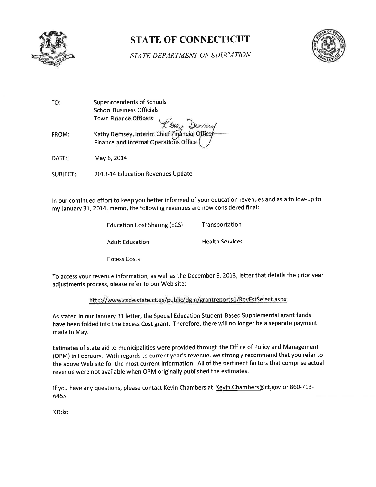

# **STATE OF CONNECTICUT**



**STATE DEPARTMENT OF EDUCATION** 

| TO:          | <b>Superintendents of Schools</b><br><b>School Business Officials</b><br><b>Town Finance Officers</b> |
|--------------|-------------------------------------------------------------------------------------------------------|
| <b>FROM:</b> | X QHy Demsey, Interim Chief Financial Officer<br>Finance and Internal Operations Office               |
| DATE:        | May 6, 2014                                                                                           |

2013-14 Education Revenues Update **SUBJECT:** 

In our continued effort to keep you better informed of your education revenues and as a follow-up to my January 31, 2014, memo, the following revenues are now considered final:

| <b>Education Cost Sharing (ECS)</b> | Transportation         |
|-------------------------------------|------------------------|
| <b>Adult Education</b>              | <b>Health Services</b> |
| <b>Excess Costs</b>                 |                        |

To access your revenue information, as well as the December 6, 2013, letter that details the prior year adjustments process, please refer to our Web site:

#### http://www.csde.state.ct.us/public/dgm/grantreports1/RevEstSelect.aspx

As stated in our January 31 letter, the Special Education Student-Based Supplemental grant funds have been folded into the Excess Cost grant. Therefore, there will no longer be a separate payment made in May.

Estimates of state aid to municipalities were provided through the Office of Policy and Management (OPM) in February. With regards to current year's revenue, we strongly recommend that you refer to the above Web site for the most current information. All of the pertinent factors that comprise actual revenue were not available when OPM originally published the estimates.

If you have any questions, please contact Kevin Chambers at Kevin. Chambers@ct.gov or 860-713-6455.

KD:kc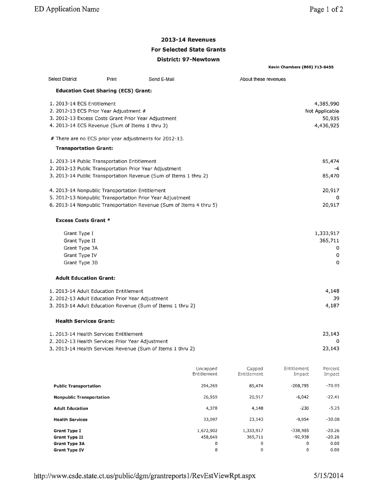**Kevin Chambers (860) 713-6455** 

## **2013-14 Revenues**

## **For Selected State Grants**

#### District: 97-Newtown

| <b>Select District</b><br>Print                                                                                                                                                           | Send E-Mail                    | About these revenues                     |                               |                                                    |
|-------------------------------------------------------------------------------------------------------------------------------------------------------------------------------------------|--------------------------------|------------------------------------------|-------------------------------|----------------------------------------------------|
| <b>Education Cost Sharing (ECS) Grant:</b>                                                                                                                                                |                                |                                          |                               |                                                    |
| 1. 2013-14 ECS Entitlement<br>2. 2012-13 ECS Prior Year Adjustment #<br>3. 2012-13 Excess Costs Grant Prior Year Adjustment<br>4. 2013-14 ECS Revenue (Sum of Items 1 thru 3)             |                                |                                          |                               | 4,385,990<br>Not Applicable<br>50,935<br>4,436,925 |
| # There are no ECS prior year adjustments for 2012-13.                                                                                                                                    |                                |                                          |                               |                                                    |
| <b>Transportation Grant:</b>                                                                                                                                                              |                                |                                          |                               |                                                    |
| 1. 2013-14 Public Transportation Entitlement<br>2. 2012-13 Public Transportation Prior Year Adjustment<br>3. 2013-14 Public Transportation Revenue (Sum of Items 1 thru 2)                |                                |                                          |                               | 85,474<br>-4<br>85,470                             |
| 4. 2013-14 Nonpublic Transportation Entitlement<br>5. 2012-13 Nonpublic Transportation Prior Year Adjustment                                                                              |                                |                                          |                               | 20,917<br>0                                        |
| 6. 2013-14 Nonpublic Transportation Revenue (Sum of Items 4 thru 5)                                                                                                                       |                                |                                          |                               | 20,917                                             |
| <b>Excess Costs Grant *</b>                                                                                                                                                               |                                |                                          |                               |                                                    |
| Grant Type I<br>Grant Type II<br>Grant Type 3A<br>Grant Type IV<br>Grant Type 3B                                                                                                          |                                |                                          |                               | 1,333,917<br>365,711<br>0<br>0<br>0                |
| <b>Adult Education Grant:</b>                                                                                                                                                             |                                |                                          |                               |                                                    |
| 1. 2013-14 Adult Education Entitlement<br>2. 2012-13 Adult Education Prior Year Adjustment<br>3. 2013-14 Adult Education Revenue (Sum of Items 1 thru 2)<br><b>Health Services Grant:</b> |                                |                                          |                               | 4,148<br>39<br>4,187                               |
|                                                                                                                                                                                           |                                |                                          |                               |                                                    |
| 1. 2013-14 Health Services Entitlement<br>2. 2012-13 Health Services Prior Year Adjustment                                                                                                |                                |                                          |                               | 23,143<br>0                                        |
| 3. 2013-14 Health Services Revenue (Sum of Items 1 thru 2)                                                                                                                                |                                |                                          |                               | 23,143                                             |
|                                                                                                                                                                                           | Uncapped<br>Entitlement        | Capped<br>Entitlement                    | Entitlement<br>Impact         | Percent<br>Impact                                  |
| <b>Public Transportation</b>                                                                                                                                                              | 294,269                        | 85,474                                   | $-208,795$                    | $-70.95$                                           |
| <b>Nonpublic Transportation</b>                                                                                                                                                           | 26,959                         | 20,917                                   | $-6,042$                      | $-22.41$                                           |
| <b>Adult Education</b>                                                                                                                                                                    | 4,378                          | 4,148                                    | $-230$                        | $-5.25$                                            |
| <b>Health Services</b>                                                                                                                                                                    | 33,097                         | 23,143                                   | $-9,954$                      | $-30.08$                                           |
| <b>Grant Type I</b><br><b>Grant Type II</b><br><b>Grant Type 3A</b><br><b>Grant Type IV</b>                                                                                               | 1,672,902<br>458,649<br>0<br>0 | 1,333,917<br>365,711<br>0<br>$\mathbf 0$ | -338,985<br>-92,938<br>0<br>0 | $-20.26$<br>$-20.26$<br>0.00<br>0.00               |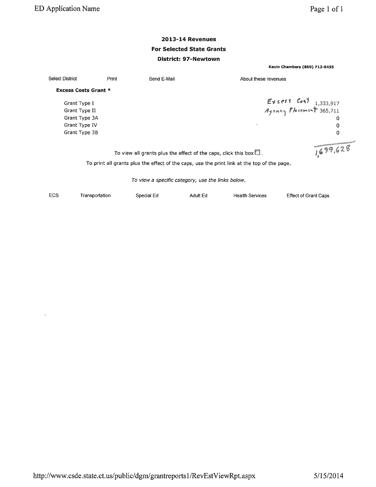**Select District** 

**Excess Costs Grant \*** 

Grant Type I Grant Type II Grant Type 3A Grant Type IV

Grant Type 3B

Print

 $\pmb{\mathsf{O}}$ 

1,699,628

**Kevin Chambers (860) 713-6455** 

## **2013-14 Revenues For Selected State Grants District: 97-Newtown**

| Send E-Mail | About these revenues                              |
|-------------|---------------------------------------------------|
|             | Excess Cost 1,333,917<br>Agency Placement 365,711 |
|             |                                                   |
|             |                                                   |
|             | -111                                              |

To view all grants plus the effect of the caps, click this box  $\square$ .

To print all grants plus the effect of the caps, use the print link at the top of the page.

To view a specific category, use the links below.

| ECS | Transportation | Special Ed | Adult Ed | Health Services | <b>Effect of Grant Caps</b> |
|-----|----------------|------------|----------|-----------------|-----------------------------|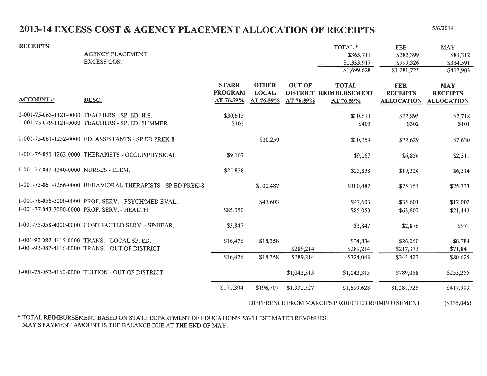# 2013-14 EXCESS COST & AGENCY PLACEMENT ALLOCATION OF RECEIPTS

 $5/6/2014$ 

| <b>RECEIPTS</b>                       | <b>AGENCY PLACEMENT</b><br><b>EXCESS COST</b>                                                       |                                             |                                           |                            | TOTAL <sup>*</sup><br>\$365,711<br>\$1,333,917<br>\$1,699,628 | <b>FEB</b><br>\$282,399<br>\$999,326<br>\$1,281,725 | <b>MAY</b><br>\$83,312<br>\$334,591<br>\$417,903   |
|---------------------------------------|-----------------------------------------------------------------------------------------------------|---------------------------------------------|-------------------------------------------|----------------------------|---------------------------------------------------------------|-----------------------------------------------------|----------------------------------------------------|
| <b>ACCOUNT#</b>                       | DESC.                                                                                               | <b>STARR</b><br><b>PROGRAM</b><br>AT 76.59% | <b>OTHER</b><br><b>LOCAL</b><br>AT 76.59% | <b>OUT OF</b><br>AT 76.59% | <b>TOTAL</b><br>DISTRICT REIMBURSEMENT<br>AT 76.59%           | FEB.<br><b>RECEIPTS</b><br><b>ALLOCATION</b>        | <b>MAY</b><br><b>RECEIPTS</b><br><b>ALLOCATION</b> |
|                                       | 1-001-75-063-1121-0000 TEACHERS - SP. ED. H.S.<br>1-001-75-079-1121-0000 TEACHERS - SP. ED. SUMMER  | \$30,613<br>\$403                           |                                           |                            | \$30,613<br>\$403                                             | \$22,895<br>\$302                                   | \$7,718<br>\$101                                   |
|                                       | 1-001-75-061-1232-0000 ED. ASSISTANTS - SP ED PREK-8                                                |                                             | \$30,259                                  |                            | \$30,259                                                      | \$22,629                                            | \$7,630                                            |
|                                       | 1-001-75-051-1263-0000 THERAPISTS - OCCUP/PHYSICAL                                                  | \$9,167                                     |                                           |                            | \$9,167                                                       | \$6,856                                             | \$2,311                                            |
| 1-001-77-043-1240-0000 NURSES - ELEM. |                                                                                                     | \$25,838                                    |                                           |                            | \$25,838                                                      | \$19,324                                            | \$6,514                                            |
|                                       | 1-001-75-061-1266-0000 BEHAVIORAL THERAPISTS - SP ED PREK-8                                         |                                             | \$100,487                                 |                            | \$100,487                                                     | \$75,154                                            | \$25,333                                           |
|                                       | 1-001-76-056-3000-0000 PROF. SERV. - PSYCH/MED EVAL.<br>1-001-77-043-3000-0000 PROF. SERV. - HEALTH | \$85,050                                    | \$47,603                                  |                            | \$47,603<br>\$85,050                                          | \$35,601<br>\$63,607                                | \$12,002<br>\$21,443                               |
|                                       | 1-001-75-058-4000-0000 CONTRACTED SERV. - SP/HEAR.                                                  | \$3,847                                     |                                           |                            | \$3,847                                                       | \$2,876                                             | \$971                                              |
|                                       | 1-001-92-087-4115-0000 TRANS. - LOCAL SP. ED.<br>1-001-92-087-4116-0000 TRANS. - OUT OF DISTRICT    | \$16,476                                    | \$18,358                                  | \$289,214                  | \$34,834<br>\$289,214                                         | \$26,050<br>\$217,373                               | \$8,784<br>\$71,841                                |
|                                       |                                                                                                     | \$16,476                                    | \$18,358                                  | \$289,214                  | \$324,048                                                     | \$243,423                                           | \$80,625                                           |
|                                       | 1-001-75-052-4160-0000 TUITION - OUT OF DISTRICT                                                    |                                             |                                           | \$1,042,313                | \$1,042,313                                                   | \$789,058                                           | \$253,255                                          |
|                                       |                                                                                                     | \$171,394                                   | \$196,707                                 | \$1,331,527                | \$1,699,628                                                   | \$1,281,725                                         | \$417,903                                          |

DIFFERENCE FROM MARCH'S PROJECTED REIMBURSEMENT  $($135,046)$ 

\* TOTAL REIMBURSEMENT BASED ON STATE DEPARTMENT OF EDUCATION'S 5/6/14 ESTIMATED REVENUES. MAY'S PAYMENT AMOUNT IS THE BALANCE DUE AT THE END OF MAY.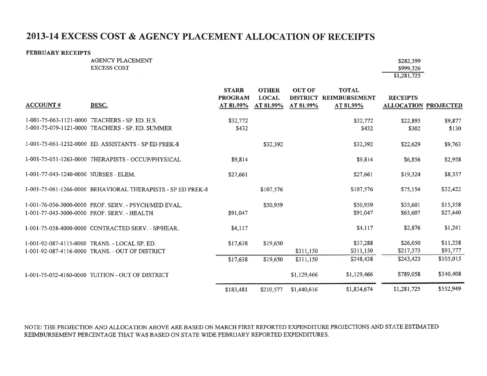## 2013-14 EXCESS COST & AGENCY PLACEMENT ALLOCATION OF RECEIPTS

#### **FEBRUARY RECEIPTS**

AGENCY PLACEMENT **EXCESS COST** 

the control of the

| \$282,399   |
|-------------|
| \$999.326   |
| \$1,281,725 |

|                                       |                                                             | <b>STARR</b><br><b>PROGRAM</b> | <b>OTHER</b><br><b>LOCAL</b> | <b>OUT OF</b><br><b>DISTRICT</b> | <b>TOTAL</b><br><b>REIMBURSEMENT</b> | <b>RECEIPTS</b>             |           |
|---------------------------------------|-------------------------------------------------------------|--------------------------------|------------------------------|----------------------------------|--------------------------------------|-----------------------------|-----------|
| <b>ACCOUNT#</b>                       | DESC.                                                       | AT 81.99%                      | AT 81.99%                    | AT 81.99%                        | AT 81.99%                            | <b>ALLOCATION PROJECTED</b> |           |
|                                       | 1-001-75-063-1121-0000 TEACHERS - SP. ED. H.S.              | \$32,772                       |                              |                                  | \$32,772                             | \$22,895                    | \$9,877   |
|                                       | 1-001-75-079-1121-0000 TEACHERS - SP. ED. SUMMER            | \$432                          |                              |                                  | \$432                                | \$302                       | \$130     |
|                                       | 1-001-75-061-1232-0000 ED. ASSISTANTS - SP ED PREK-8        |                                | \$32,392                     |                                  | \$32,392                             | \$22,629                    | \$9,763   |
|                                       | 1-001-75-051-1263-0000 THERAPISTS - OCCUP/PHYSICAL          | \$9,814                        |                              |                                  | \$9,814                              | \$6,856                     | \$2,958   |
| 1-001-77-043-1240-0000 NURSES - ELEM. |                                                             | \$27,661                       |                              |                                  | \$27,661                             | \$19,324                    | \$8,337   |
|                                       | 1-001-75-061-1266-0000 BEHAVIORAL THERAPISTS - SP ED PREK-8 |                                | \$107,576                    |                                  | \$107,576                            | \$75,154                    | \$32,422  |
|                                       | 1-001-76-056-3000-0000 PROF. SERV. - PSYCH/MED EVAL.        |                                | \$50,959                     |                                  | \$50,959                             | \$35,601                    | \$15,358  |
|                                       | 1-001-77-043-3000-0000 PROF. SERV. - HEALTH                 | \$91,047                       |                              |                                  | \$91,047                             | \$63,607                    | \$27,440  |
|                                       | 1-001-75-058-4000-0000 CONTRACTED SERV. - SP/HEAR.          | \$4,117                        |                              |                                  | \$4,117                              | \$2,876                     | \$1,241   |
|                                       | 1-001-92-087-4115-0000 TRANS. - LOCAL SP. ED.               | \$17,638                       | \$19,650                     |                                  | \$37,288                             | \$26,050                    | \$11,238  |
|                                       | 1-001-92-087-4116-0000 TRANS. - OUT OF DISTRICT             |                                |                              | \$311,150                        | \$311,150                            | \$217,373                   | \$93,777  |
|                                       |                                                             | \$17,638                       | \$19,650                     | \$311,150                        | \$348,438                            | \$243,423                   | \$105,015 |
|                                       | 1-001-75-052-4160-0000 TUITION - OUT OF DISTRICT            |                                |                              | \$1,129,466                      | \$1,129,466                          | \$789,058                   | \$340,408 |
|                                       |                                                             | \$183,481                      | \$210,577                    | \$1,440,616                      | \$1,834,674                          | \$1,281,725                 | \$552,949 |

NOTE: THE PROJECTION AND ALLOCATION ABOVE ARE BASED ON MARCH FIRST REPORTED EXPENDITURE PROJECTIONS AND STATE ESTIMATED REIMBURSEMENT PERCENTAGE THAT WAS BASED ON STATE WIDE FEBRUARY REPORTED EXPENDITURES.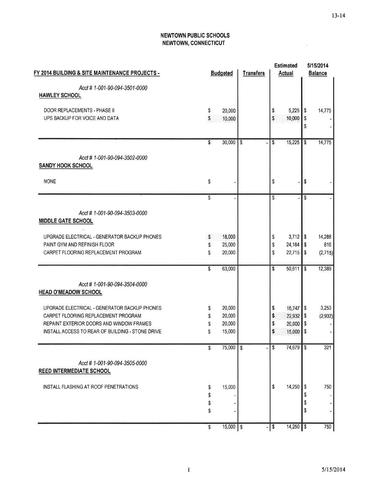ā.

#### **NEWTOWN PUBLIC SCHOOLS** NEWTOWN, CONNECTICUT

| FY 2014 BUILDING & SITE MAINTENANCE PROJECTS -                   |                 | <b>Budgeted</b> |    | <b>Estimated</b><br><b>Actual</b> |                        | 5/15/2014<br><b>Balance</b> |         |
|------------------------------------------------------------------|-----------------|-----------------|----|-----------------------------------|------------------------|-----------------------------|---------|
| Acct # 1-001-90-094-3501-0000<br><b>HAWLEY SCHOOL</b>            |                 |                 |    |                                   |                        |                             |         |
| DOOR REPLACEMENTS - PHASE II                                     | \$              | 20,000          |    | \$                                | 5,225                  | \$                          | 14,775  |
| UPS BACKUP FOR VOICE AND DATA                                    | \$              | 10,000          |    | \$                                | 10,000                 | \$<br>\$                    |         |
|                                                                  | $\overline{\$}$ | 30,000          | \$ | \$                                | 15,225                 | \$                          | 14,775  |
| Accl # 1-001-90-094-3502-0000<br><b>SANDY HOOK SCHOOL</b>        |                 |                 |    |                                   |                        |                             |         |
| <b>NONE</b>                                                      | \$              |                 |    | \$                                |                        | \$                          |         |
|                                                                  | $\overline{\$}$ |                 |    | \$                                |                        | \$                          |         |
| Acct # 1-001-90-094-3503-0000<br><b>MIDDLE GATE SCHOOL</b>       |                 |                 |    |                                   |                        |                             |         |
| UPGRADE ELECTRICAL - GENERATOR BACKUP PHONES                     | \$              | 18,000          |    | \$                                | $3,712$ \$             |                             | 14,288  |
| PAINT GYM AND REFINISH FLOOR                                     | \$              | 25,000          |    | \$                                | 24,184                 | \$                          | 816     |
| CARPET FLOORING REPLACEMENT PROGRAM                              | \$              | 20,000          |    | \$                                | 22,715                 | $\sqrt{3}$                  | (2,715) |
|                                                                  | \$              | 63,000          |    | \$                                | 50,611                 | \$                          | 12,389  |
| Acct # 1-001-90-094-3504-0000<br><b>HEAD O'MEADOW SCHOOL</b>     |                 |                 |    |                                   |                        |                             |         |
| UPGRADE ELECTRICAL - GENERATOR BACKUP PHONES                     | \$              | 20,000          |    | \$                                | $16,747$ $\frac{1}{9}$ |                             | 3,253   |
| CARPET FLOORING REPLACEMENT PROGRAM                              | \$              | 20,000          |    | \$                                | 22,932                 | \$                          | (2,932) |
| REPAINT EXTERIOR DOORS AND WINDOW FRAMES                         | \$              | 20,000          |    | \$                                | 20,000                 | \$                          |         |
| INSTALL ACCESS TO REAR OF BUILDING - STONE DRIVE                 | \$              | 15,000          |    | \$                                | 15,000                 | \$                          |         |
|                                                                  | Ŝ               | 75,000          | \$ | \$                                | 74,679                 | $\mathsf{\$}$               | 321     |
| Acct # 1-001-90-094-3505-0000<br><b>REED INTERMEDIATE SCHOOL</b> |                 |                 |    |                                   |                        |                             |         |
| INSTALL FLASHING AT ROOF PENETRATIONS                            | \$              | 15,000          |    | \$                                | 14,250                 | \$                          | 750     |
|                                                                  | \$              |                 |    |                                   |                        | \$                          |         |
|                                                                  | \$              |                 |    |                                   |                        | \$                          |         |
|                                                                  | \$              |                 |    |                                   |                        | \$                          |         |
|                                                                  | \$              | $15,000$ \$     | è. | $\sqrt[6]{3}$                     | $14,250$ \$            |                             | 750     |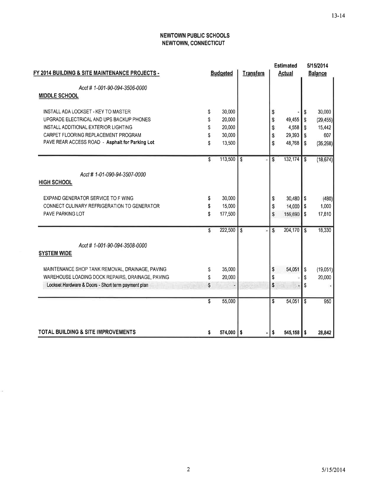#### **NEWTOWN PUBLIC SCHOOLS** NEWTOWN, CONNECTICUT

|    |         |                           | <b>Estimated</b>         |           | 5/15/2014               |                   |
|----|---------|---------------------------|--------------------------|-----------|-------------------------|-------------------|
|    |         | <b>Transfers</b>          | <b>Actual</b>            |           | <b>Balance</b>          |                   |
|    |         |                           |                          |           |                         |                   |
|    |         |                           |                          |           |                         |                   |
| \$ |         |                           |                          |           |                         | 30,000            |
| \$ | 20,000  |                           | \$                       |           | S                       | (29, 455)         |
| \$ | 20,000  |                           | S                        | 4,558     | S                       | 15,442            |
| \$ | 30,000  |                           | \$                       |           | <sub>S</sub>            | 607               |
| \$ | 13,500  |                           | S                        | 48,768    | S                       | (35, 268)         |
| \$ | 113,500 | s                         | Ŝ                        | 132,174   | $\mathsf{s}$            | (18, 674)         |
|    |         |                           |                          |           |                         |                   |
|    |         |                           |                          |           |                         |                   |
| \$ | 30,000  |                           | s                        | 30,480    | <b>S</b>                | (480)             |
| \$ | 15,000  |                           | \$                       | 14,000    | <b>S</b>                | 1,000             |
| \$ | 177,500 |                           | S                        | 159,690   | \$                      | 17,810            |
| \$ | 222,500 |                           | S                        | 204,170   | $\overline{\mathbf{s}}$ | 18,330            |
|    |         |                           |                          |           |                         |                   |
|    |         |                           |                          |           |                         |                   |
| \$ | 35,000  |                           | \$                       | 54,051    | <sub>\$</sub>           | (19,051)          |
| \$ | 20,000  |                           | \$                       |           | S                       | 20,000            |
| \$ |         |                           | \$                       | ÷         | \$                      |                   |
| \$ | 55,000  |                           | \$                       | 54,051    | $\mathsf{s}$            | 950               |
|    |         |                           |                          |           |                         | 28,842            |
|    | \$      | <b>Budgeted</b><br>30,000 | <b>S</b><br>574,000   \$ | \$<br>l S | 49,455<br>29,393        | S<br>$545,158$ \$ |

ä,